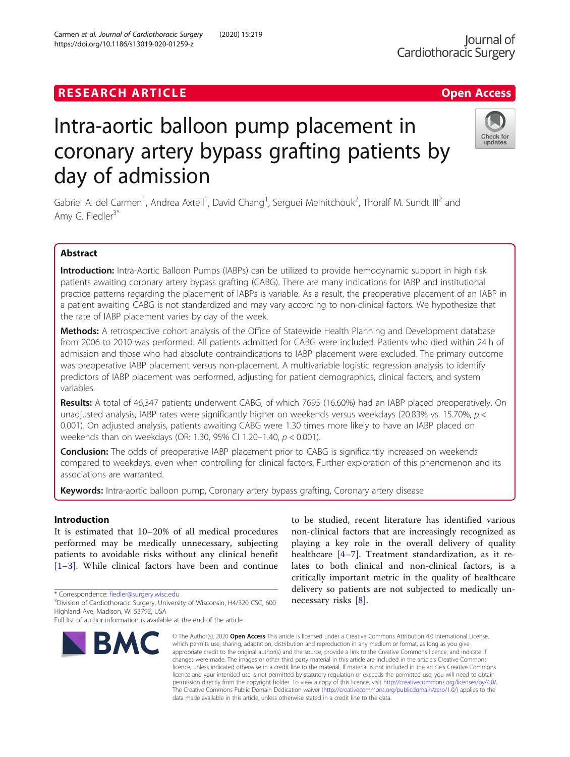# **RESEARCH ARTICLE Example 2018 12:30 The Contract of Contract ACCESS**

# Intra-aortic balloon pump placement in coronary artery bypass grafting patients by day of admission

Gabriel A. del Carmen<sup>1</sup>, Andrea Axtell<sup>1</sup>, David Chang<sup>1</sup>, Serguei Melnitchouk<sup>2</sup>, Thoralf M. Sundt III<sup>2</sup> and Amy G. Fiedler<sup>3\*</sup>

## Abstract

Introduction: Intra-Aortic Balloon Pumps (IABPs) can be utilized to provide hemodynamic support in high risk patients awaiting coronary artery bypass grafting (CABG). There are many indications for IABP and institutional practice patterns regarding the placement of IABPs is variable. As a result, the preoperative placement of an IABP in a patient awaiting CABG is not standardized and may vary according to non-clinical factors. We hypothesize that the rate of IABP placement varies by day of the week.

Methods: A retrospective cohort analysis of the Office of Statewide Health Planning and Development database from 2006 to 2010 was performed. All patients admitted for CABG were included. Patients who died within 24 h of admission and those who had absolute contraindications to IABP placement were excluded. The primary outcome was preoperative IABP placement versus non-placement. A multivariable logistic regression analysis to identify predictors of IABP placement was performed, adjusting for patient demographics, clinical factors, and system variables.

Results: A total of 46,347 patients underwent CABG, of which 7695 (16.60%) had an IABP placed preoperatively. On unadjusted analysis, IABP rates were significantly higher on weekends versus weekdays (20.83% vs. 15.70%, p < 0.001). On adjusted analysis, patients awaiting CABG were 1.30 times more likely to have an IABP placed on weekends than on weekdays (OR: 1.30, 95% CI 1.20–1.40, p < 0.001).

**Conclusion:** The odds of preoperative IABP placement prior to CABG is significantly increased on weekends compared to weekdays, even when controlling for clinical factors. Further exploration of this phenomenon and its associations are warranted.

Keywords: Intra-aortic balloon pump, Coronary artery bypass grafting, Coronary artery disease

## Introduction

It is estimated that 10–20% of all medical procedures performed may be medically unnecessary, subjecting patients to avoidable risks without any clinical benefit [[1](#page-8-0)–[3\]](#page-8-0). While clinical factors have been and continue

\* Correspondence: [fiedler@surgery.wisc.edu](mailto:fiedler@surgery.wisc.edu) <sup>3</sup>

**RMC** 

# healthcare [[4](#page-8-0)–[7\]](#page-8-0). Treatment standardization, as it relates to both clinical and non-clinical factors, is a critically important metric in the quality of healthcare delivery so patients are not subjected to medically unnecessary risks [\[8](#page-8-0)].

© The Author(s), 2020 **Open Access** This article is licensed under a Creative Commons Attribution 4.0 International License, which permits use, sharing, adaptation, distribution and reproduction in any medium or format, as long as you give appropriate credit to the original author(s) and the source, provide a link to the Creative Commons licence, and indicate if changes were made. The images or other third party material in this article are included in the article's Creative Commons licence, unless indicated otherwise in a credit line to the material. If material is not included in the article's Creative Commons licence and your intended use is not permitted by statutory regulation or exceeds the permitted use, you will need to obtain permission directly from the copyright holder. To view a copy of this licence, visit [http://creativecommons.org/licenses/by/4.0/.](http://creativecommons.org/licenses/by/4.0/) The Creative Commons Public Domain Dedication waiver [\(http://creativecommons.org/publicdomain/zero/1.0/](http://creativecommons.org/publicdomain/zero/1.0/)) applies to the data made available in this article, unless otherwise stated in a credit line to the data.

to be studied, recent literature has identified various non-clinical factors that are increasingly recognized as playing a key role in the overall delivery of quality





<sup>&</sup>lt;sup>3</sup>Division of Cardiothoracic Surgery, University of Wisconsin, H4/320 CSC, 600 Highland Ave, Madison, WI 53792, USA

Full list of author information is available at the end of the article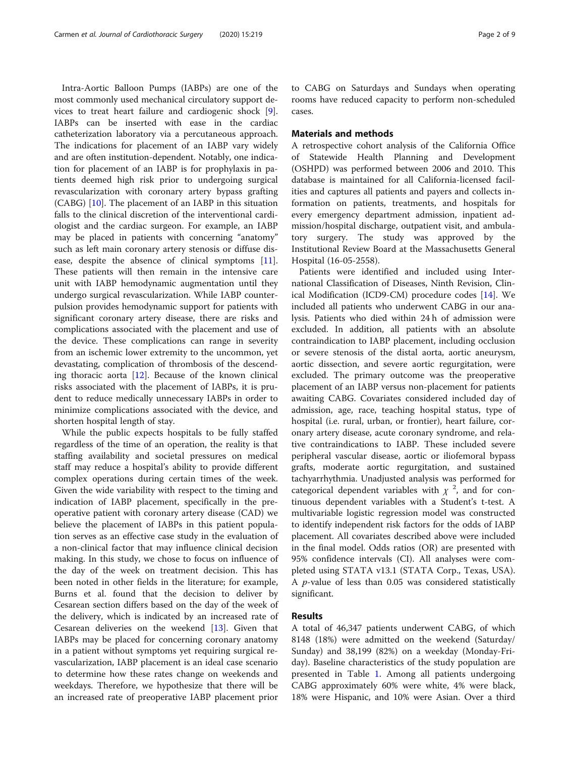Intra-Aortic Balloon Pumps (IABPs) are one of the most commonly used mechanical circulatory support devices to treat heart failure and cardiogenic shock [\[9](#page-8-0)]. IABPs can be inserted with ease in the cardiac catheterization laboratory via a percutaneous approach. The indications for placement of an IABP vary widely and are often institution-dependent. Notably, one indication for placement of an IABP is for prophylaxis in patients deemed high risk prior to undergoing surgical revascularization with coronary artery bypass grafting (CABG) [[10\]](#page-8-0). The placement of an IABP in this situation falls to the clinical discretion of the interventional cardiologist and the cardiac surgeon. For example, an IABP may be placed in patients with concerning "anatomy" such as left main coronary artery stenosis or diffuse disease, despite the absence of clinical symptoms [\[11](#page-8-0)]. These patients will then remain in the intensive care unit with IABP hemodynamic augmentation until they undergo surgical revascularization. While IABP counterpulsion provides hemodynamic support for patients with significant coronary artery disease, there are risks and complications associated with the placement and use of the device. These complications can range in severity from an ischemic lower extremity to the uncommon, yet devastating, complication of thrombosis of the descending thoracic aorta  $[12]$  $[12]$ . Because of the known clinical risks associated with the placement of IABPs, it is prudent to reduce medically unnecessary IABPs in order to minimize complications associated with the device, and shorten hospital length of stay.

While the public expects hospitals to be fully staffed regardless of the time of an operation, the reality is that staffing availability and societal pressures on medical staff may reduce a hospital's ability to provide different complex operations during certain times of the week. Given the wide variability with respect to the timing and indication of IABP placement, specifically in the preoperative patient with coronary artery disease (CAD) we believe the placement of IABPs in this patient population serves as an effective case study in the evaluation of a non-clinical factor that may influence clinical decision making. In this study, we chose to focus on influence of the day of the week on treatment decision. This has been noted in other fields in the literature; for example, Burns et al. found that the decision to deliver by Cesarean section differs based on the day of the week of the delivery, which is indicated by an increased rate of Cesarean deliveries on the weekend  $[13]$  $[13]$ . Given that IABPs may be placed for concerning coronary anatomy in a patient without symptoms yet requiring surgical revascularization, IABP placement is an ideal case scenario to determine how these rates change on weekends and weekdays. Therefore, we hypothesize that there will be an increased rate of preoperative IABP placement prior

to CABG on Saturdays and Sundays when operating rooms have reduced capacity to perform non-scheduled cases.

#### Materials and methods

A retrospective cohort analysis of the California Office of Statewide Health Planning and Development (OSHPD) was performed between 2006 and 2010. This database is maintained for all California-licensed facilities and captures all patients and payers and collects information on patients, treatments, and hospitals for every emergency department admission, inpatient admission/hospital discharge, outpatient visit, and ambulatory surgery. The study was approved by the Institutional Review Board at the Massachusetts General Hospital (16-05-2558).

Patients were identified and included using International Classification of Diseases, Ninth Revision, Clinical Modification (ICD9-CM) procedure codes [\[14](#page-8-0)]. We included all patients who underwent CABG in our analysis. Patients who died within 24 h of admission were excluded. In addition, all patients with an absolute contraindication to IABP placement, including occlusion or severe stenosis of the distal aorta, aortic aneurysm, aortic dissection, and severe aortic regurgitation, were excluded. The primary outcome was the preoperative placement of an IABP versus non-placement for patients awaiting CABG. Covariates considered included day of admission, age, race, teaching hospital status, type of hospital (i.e. rural, urban, or frontier), heart failure, coronary artery disease, acute coronary syndrome, and relative contraindications to IABP. These included severe peripheral vascular disease, aortic or iliofemoral bypass grafts, moderate aortic regurgitation, and sustained tachyarrhythmia. Unadjusted analysis was performed for categorical dependent variables with  $\chi^2$ , and for continuous dependent variables with a Student's t-test. A multivariable logistic regression model was constructed to identify independent risk factors for the odds of IABP placement. All covariates described above were included in the final model. Odds ratios (OR) are presented with 95% confidence intervals (CI). All analyses were completed using STATA v13.1 (STATA Corp., Texas, USA). A p-value of less than 0.05 was considered statistically significant.

#### Results

A total of 46,347 patients underwent CABG, of which 8148 (18%) were admitted on the weekend (Saturday/ Sunday) and 38,199 (82%) on a weekday (Monday-Friday). Baseline characteristics of the study population are presented in Table [1](#page-2-0). Among all patients undergoing CABG approximately 60% were white, 4% were black, 18% were Hispanic, and 10% were Asian. Over a third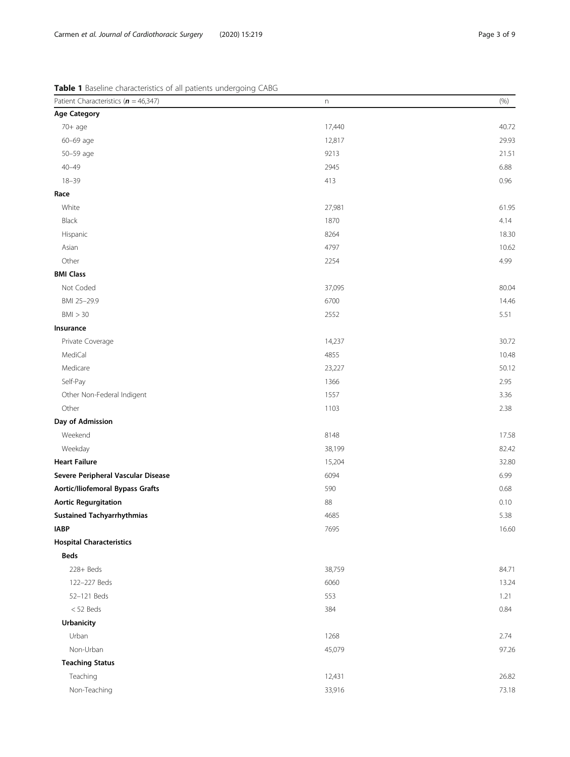<span id="page-2-0"></span>

| Table 1 Baseline characteristics of all patients undergoing CABG |  |  |  |  |  |  |  |
|------------------------------------------------------------------|--|--|--|--|--|--|--|
|------------------------------------------------------------------|--|--|--|--|--|--|--|

| Patient Characteristics $(n = 46,347)$ | n      | (% )  |
|----------------------------------------|--------|-------|
| <b>Age Category</b>                    |        |       |
| 70+ age                                | 17,440 | 40.72 |
| 60-69 age                              | 12,817 | 29.93 |
| 50-59 age                              | 9213   | 21.51 |
| $40 - 49$                              | 2945   | 6.88  |
| $18 - 39$                              | 413    | 0.96  |
| Race                                   |        |       |
| White                                  | 27,981 | 61.95 |
| Black                                  | 1870   | 4.14  |
| Hispanic                               | 8264   | 18.30 |
| Asian                                  | 4797   | 10.62 |
| Other                                  | 2254   | 4.99  |
| <b>BMI Class</b>                       |        |       |
| Not Coded                              | 37,095 | 80.04 |
| BMI 25-29.9                            | 6700   | 14.46 |
| BMI > 30                               | 2552   | 5.51  |
| Insurance                              |        |       |
| Private Coverage                       | 14,237 | 30.72 |
| MediCal                                | 4855   | 10.48 |
| Medicare                               | 23,227 | 50.12 |
| Self-Pay                               | 1366   | 2.95  |
| Other Non-Federal Indigent             | 1557   | 3.36  |
| Other                                  | 1103   | 2.38  |
| Day of Admission                       |        |       |
| Weekend                                | 8148   | 17.58 |
| Weekday                                | 38,199 | 82.42 |
| <b>Heart Failure</b>                   | 15,204 | 32.80 |
| Severe Peripheral Vascular Disease     | 6094   | 6.99  |
| Aortic/Iliofemoral Bypass Grafts       | 590    | 0.68  |
| <b>Aortic Regurgitation</b>            | 88     | 0.10  |
| <b>Sustained Tachyarrhythmias</b>      | 4685   | 5.38  |
| <b>IABP</b>                            | 7695   | 16.60 |
| <b>Hospital Characteristics</b>        |        |       |
| <b>Beds</b>                            |        |       |
| 228+ Beds                              | 38,759 | 84.71 |
| 122-227 Beds                           | 6060   | 13.24 |
| 52-121 Beds                            | 553    | 1.21  |
| $<$ 52 Beds                            | 384    | 0.84  |
| Urbanicity                             |        |       |
| Urban                                  | 1268   | 2.74  |
| Non-Urban                              | 45,079 | 97.26 |
| <b>Teaching Status</b>                 |        |       |
| Teaching                               | 12,431 | 26.82 |
| Non-Teaching                           | 33,916 | 73.18 |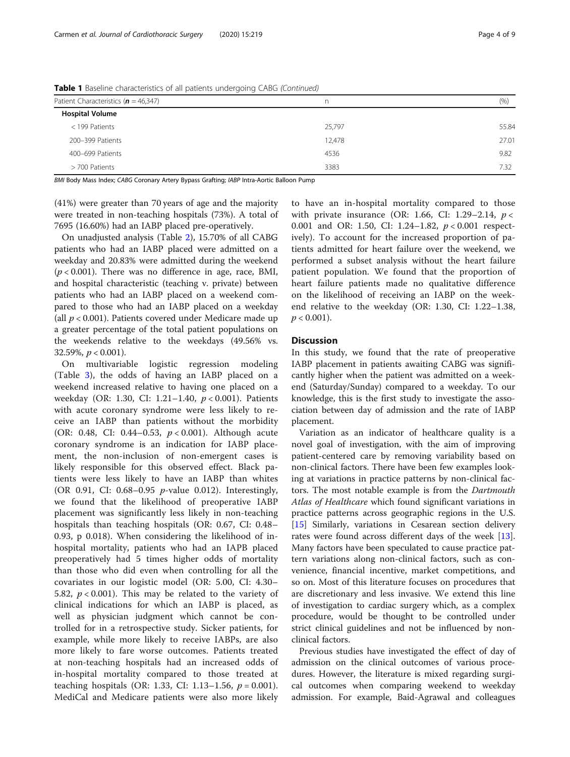| Patient Characteristics ( $n = 46,347$ ) | n      | (% )  |  |  |
|------------------------------------------|--------|-------|--|--|
| <b>Hospital Volume</b>                   |        |       |  |  |
| $<$ 199 Patients                         | 25,797 | 55.84 |  |  |
| 200-399 Patients                         | 12,478 | 27.01 |  |  |
| 400-699 Patients                         | 4536   | 9.82  |  |  |
| > 700 Patients                           | 3383   | 7.32  |  |  |

**Table 1** Baseline characteristics of all patients undergoing CABG (Continued)

BMI Body Mass Index; CABG Coronary Artery Bypass Grafting; IABP Intra-Aortic Balloon Pump

(41%) were greater than 70 years of age and the majority were treated in non-teaching hospitals (73%). A total of 7695 (16.60%) had an IABP placed pre-operatively.

On unadjusted analysis (Table [2\)](#page-4-0), 15.70% of all CABG patients who had an IABP placed were admitted on a weekday and 20.83% were admitted during the weekend  $(p < 0.001)$ . There was no difference in age, race, BMI, and hospital characteristic (teaching v. private) between patients who had an IABP placed on a weekend compared to those who had an IABP placed on a weekday (all  $p < 0.001$ ). Patients covered under Medicare made up a greater percentage of the total patient populations on the weekends relative to the weekdays (49.56% vs. 32.59%,  $p < 0.001$ ).

On multivariable logistic regression modeling (Table [3\)](#page-6-0), the odds of having an IABP placed on a weekend increased relative to having one placed on a weekday (OR: 1.30, CI: 1.21–1.40, p < 0.001). Patients with acute coronary syndrome were less likely to receive an IABP than patients without the morbidity (OR: 0.48, CI: 0.44–0.53, p < 0.001). Although acute coronary syndrome is an indication for IABP placement, the non-inclusion of non-emergent cases is likely responsible for this observed effect. Black patients were less likely to have an IABP than whites (OR 0.91, CI: 0.68–0.95 p-value 0.012). Interestingly, we found that the likelihood of preoperative IABP placement was significantly less likely in non-teaching hospitals than teaching hospitals (OR: 0.67, CI: 0.48– 0.93, p 0.018). When considering the likelihood of inhospital mortality, patients who had an IAPB placed preoperatively had 5 times higher odds of mortality than those who did even when controlling for all the covariates in our logistic model (OR: 5.00, CI: 4.30– 5.82,  $p < 0.001$ ). This may be related to the variety of clinical indications for which an IABP is placed, as well as physician judgment which cannot be controlled for in a retrospective study. Sicker patients, for example, while more likely to receive IABPs, are also more likely to fare worse outcomes. Patients treated at non-teaching hospitals had an increased odds of in-hospital mortality compared to those treated at teaching hospitals (OR: 1.33, CI: 1.13–1.56,  $p = 0.001$ ). MediCal and Medicare patients were also more likely to have an in-hospital mortality compared to those with private insurance (OR: 1.66, CI: 1.29–2.14,  $p <$ 0.001 and OR: 1.50, CI: 1.24–1.82,  $p < 0.001$  respectively). To account for the increased proportion of patients admitted for heart failure over the weekend, we performed a subset analysis without the heart failure patient population. We found that the proportion of heart failure patients made no qualitative difference on the likelihood of receiving an IABP on the weekend relative to the weekday (OR: 1.30, CI: 1.22–1.38,  $p < 0.001$ ).

#### **Discussion**

In this study, we found that the rate of preoperative IABP placement in patients awaiting CABG was significantly higher when the patient was admitted on a weekend (Saturday/Sunday) compared to a weekday. To our knowledge, this is the first study to investigate the association between day of admission and the rate of IABP placement.

Variation as an indicator of healthcare quality is a novel goal of investigation, with the aim of improving patient-centered care by removing variability based on non-clinical factors. There have been few examples looking at variations in practice patterns by non-clinical factors. The most notable example is from the Dartmouth Atlas of Healthcare which found significant variations in practice patterns across geographic regions in the U.S. [[15\]](#page-8-0) Similarly, variations in Cesarean section delivery rates were found across different days of the week [\[13](#page-8-0)]. Many factors have been speculated to cause practice pattern variations along non-clinical factors, such as convenience, financial incentive, market competitions, and so on. Most of this literature focuses on procedures that are discretionary and less invasive. We extend this line of investigation to cardiac surgery which, as a complex procedure, would be thought to be controlled under strict clinical guidelines and not be influenced by nonclinical factors.

Previous studies have investigated the effect of day of admission on the clinical outcomes of various procedures. However, the literature is mixed regarding surgical outcomes when comparing weekend to weekday admission. For example, Baid-Agrawal and colleagues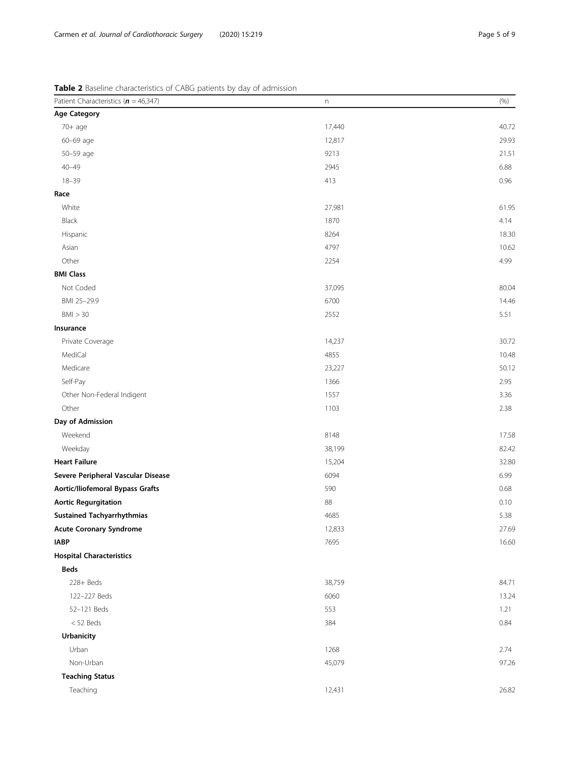<span id="page-4-0"></span>Table 2 Baseline characteristics of CABG patients by day of admission

| Patient Characteristics ( $n = 46,347$ ) | n      | (% )  |
|------------------------------------------|--------|-------|
| <b>Age Category</b>                      |        |       |
| $70+$ age                                | 17,440 | 40.72 |
| 60-69 age                                | 12,817 | 29.93 |
| 50-59 age                                | 9213   | 21.51 |
| $40 - 49$                                | 2945   | 6.88  |
| $18 - 39$                                | 413    | 0.96  |
| Race                                     |        |       |
| White                                    | 27,981 | 61.95 |
| Black                                    | 1870   | 4.14  |
| Hispanic                                 | 8264   | 18.30 |
| Asian                                    | 4797   | 10.62 |
| Other                                    | 2254   | 4.99  |
| <b>BMI Class</b>                         |        |       |
| Not Coded                                | 37,095 | 80.04 |
| BMI 25-29.9                              | 6700   | 14.46 |
| BMI > 30                                 | 2552   | 5.51  |
| Insurance                                |        |       |
| Private Coverage                         | 14,237 | 30.72 |
| MediCal                                  | 4855   | 10.48 |
| Medicare                                 | 23,227 | 50.12 |
| Self-Pay                                 | 1366   | 2.95  |
| Other Non-Federal Indigent               | 1557   | 3.36  |
| Other                                    | 1103   | 2.38  |
| Day of Admission                         |        |       |
| Weekend                                  | 8148   | 17.58 |
| Weekday                                  | 38,199 | 82.42 |
| <b>Heart Failure</b>                     | 15,204 | 32.80 |
| Severe Peripheral Vascular Disease       | 6094   | 6.99  |
| <b>Aortic/Iliofemoral Bypass Grafts</b>  | 590    | 0.68  |
| <b>Aortic Regurgitation</b>              | 88     | 0.10  |
| <b>Sustained Tachyarrhythmias</b>        | 4685   | 5.38  |
| <b>Acute Coronary Syndrome</b>           | 12,833 | 27.69 |
| <b>IABP</b>                              | 7695   | 16.60 |
| <b>Hospital Characteristics</b>          |        |       |
| <b>Beds</b>                              |        |       |
| 228+ Beds                                | 38,759 | 84.71 |
| 122-227 Beds                             | 6060   | 13.24 |
| 52-121 Beds                              | 553    | 1.21  |
| $<$ 52 Beds                              | 384    | 0.84  |
| <b>Urbanicity</b>                        |        |       |
| Urban                                    | 1268   | 2.74  |
| Non-Urban                                | 45,079 | 97.26 |
| <b>Teaching Status</b>                   |        |       |
| Teaching                                 | 12,431 | 26.82 |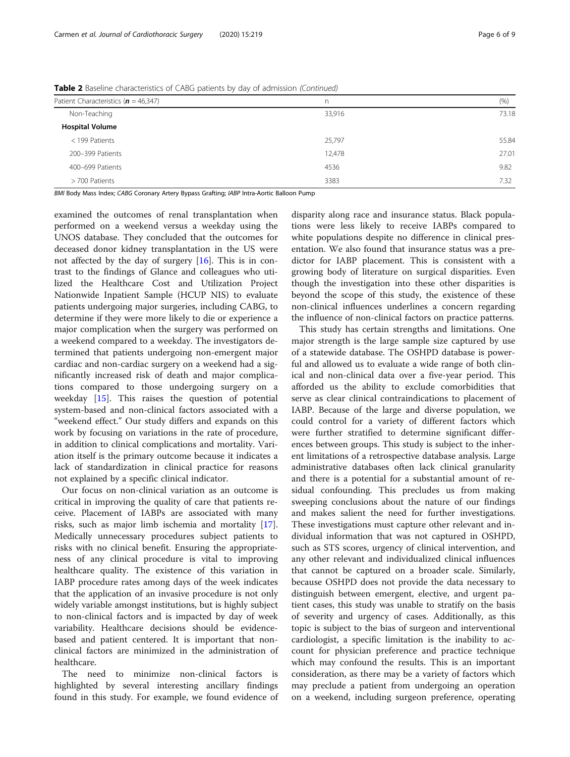| Patient Characteristics ( $n = 46,347$ ) | n      | (% )  |
|------------------------------------------|--------|-------|
| Non-Teaching                             | 33,916 | 73.18 |
| <b>Hospital Volume</b>                   |        |       |
| < 199 Patients                           | 25,797 | 55.84 |
| 200-399 Patients                         | 12,478 | 27.01 |
| 400-699 Patients                         | 4536   | 9.82  |
| > 700 Patients                           | 3383   | 7.32  |

Table 2 Baseline characteristics of CABG patients by day of admission (Continued)

BMI Body Mass Index; CABG Coronary Artery Bypass Grafting; IABP Intra-Aortic Balloon Pump

examined the outcomes of renal transplantation when performed on a weekend versus a weekday using the UNOS database. They concluded that the outcomes for deceased donor kidney transplantation in the US were not affected by the day of surgery [\[16\]](#page-8-0). This is in contrast to the findings of Glance and colleagues who utilized the Healthcare Cost and Utilization Project Nationwide Inpatient Sample (HCUP NIS) to evaluate patients undergoing major surgeries, including CABG, to determine if they were more likely to die or experience a major complication when the surgery was performed on a weekend compared to a weekday. The investigators determined that patients undergoing non-emergent major cardiac and non-cardiac surgery on a weekend had a significantly increased risk of death and major complications compared to those undergoing surgery on a weekday [\[15](#page-8-0)]. This raises the question of potential system-based and non-clinical factors associated with a "weekend effect." Our study differs and expands on this work by focusing on variations in the rate of procedure, in addition to clinical complications and mortality. Variation itself is the primary outcome because it indicates a lack of standardization in clinical practice for reasons not explained by a specific clinical indicator.

Our focus on non-clinical variation as an outcome is critical in improving the quality of care that patients receive. Placement of IABPs are associated with many risks, such as major limb ischemia and mortality [\[17](#page-8-0)]. Medically unnecessary procedures subject patients to risks with no clinical benefit. Ensuring the appropriateness of any clinical procedure is vital to improving healthcare quality. The existence of this variation in IABP procedure rates among days of the week indicates that the application of an invasive procedure is not only widely variable amongst institutions, but is highly subject to non-clinical factors and is impacted by day of week variability. Healthcare decisions should be evidencebased and patient centered. It is important that nonclinical factors are minimized in the administration of healthcare.

The need to minimize non-clinical factors is highlighted by several interesting ancillary findings found in this study. For example, we found evidence of disparity along race and insurance status. Black populations were less likely to receive IABPs compared to white populations despite no difference in clinical presentation. We also found that insurance status was a predictor for IABP placement. This is consistent with a growing body of literature on surgical disparities. Even though the investigation into these other disparities is beyond the scope of this study, the existence of these non-clinical influences underlines a concern regarding the influence of non-clinical factors on practice patterns.

This study has certain strengths and limitations. One major strength is the large sample size captured by use of a statewide database. The OSHPD database is powerful and allowed us to evaluate a wide range of both clinical and non-clinical data over a five-year period. This afforded us the ability to exclude comorbidities that serve as clear clinical contraindications to placement of IABP. Because of the large and diverse population, we could control for a variety of different factors which were further stratified to determine significant differences between groups. This study is subject to the inherent limitations of a retrospective database analysis. Large administrative databases often lack clinical granularity and there is a potential for a substantial amount of residual confounding. This precludes us from making sweeping conclusions about the nature of our findings and makes salient the need for further investigations. These investigations must capture other relevant and individual information that was not captured in OSHPD, such as STS scores, urgency of clinical intervention, and any other relevant and individualized clinical influences that cannot be captured on a broader scale. Similarly, because OSHPD does not provide the data necessary to distinguish between emergent, elective, and urgent patient cases, this study was unable to stratify on the basis of severity and urgency of cases. Additionally, as this topic is subject to the bias of surgeon and interventional cardiologist, a specific limitation is the inability to account for physician preference and practice technique which may confound the results. This is an important consideration, as there may be a variety of factors which may preclude a patient from undergoing an operation on a weekend, including surgeon preference, operating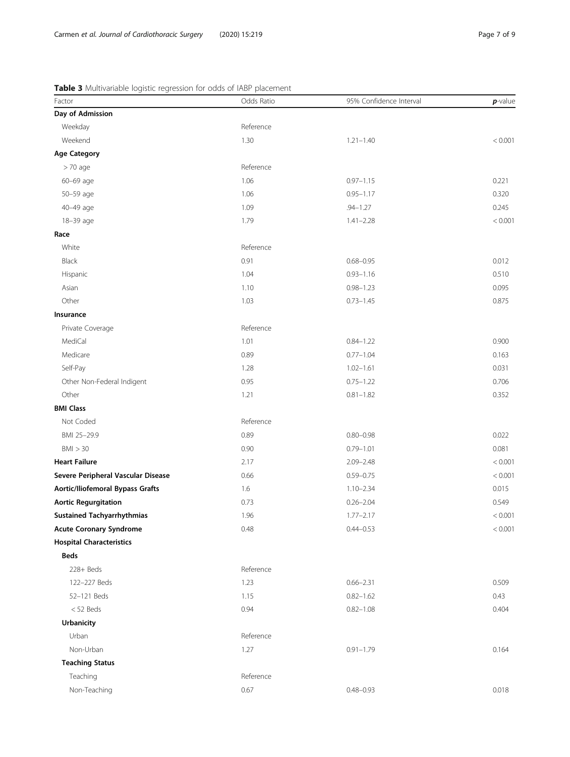### <span id="page-6-0"></span>Table 3 Multivariable logistic regression for odds of IABP placement

| Factor                             | Odds Ratio | 95% Confidence Interval | $p$ -value |
|------------------------------------|------------|-------------------------|------------|
| Day of Admission                   |            |                         |            |
| Weekday                            | Reference  |                         |            |
| Weekend                            | 1.30       | $1.21 - 1.40$           | < 0.001    |
| <b>Age Category</b>                |            |                         |            |
| $> 70$ age                         | Reference  |                         |            |
| 60-69 age                          | 1.06       | $0.97 - 1.15$           | 0.221      |
| 50-59 age                          | 1.06       | $0.95 - 1.17$           | 0.320      |
| 40-49 age                          | 1.09       | $.94 - 1.27$            | 0.245      |
| 18-39 age                          | 1.79       | $1.41 - 2.28$           | < 0.001    |
| Race                               |            |                         |            |
| White                              | Reference  |                         |            |
| Black                              | 0.91       | $0.68 - 0.95$           | 0.012      |
| Hispanic                           | 1.04       | $0.93 - 1.16$           | 0.510      |
| Asian                              | 1.10       | $0.98 - 1.23$           | 0.095      |
| Other                              | 1.03       | $0.73 - 1.45$           | 0.875      |
| Insurance                          |            |                         |            |
| Private Coverage                   | Reference  |                         |            |
| MediCal                            | 1.01       | $0.84 - 1.22$           | 0.900      |
| Medicare                           | 0.89       | $0.77 - 1.04$           | 0.163      |
| Self-Pay                           | 1.28       | $1.02 - 1.61$           | 0.031      |
| Other Non-Federal Indigent         | 0.95       | $0.75 - 1.22$           | 0.706      |
| Other                              | 1.21       | $0.81 - 1.82$           | 0.352      |
| <b>BMI Class</b>                   |            |                         |            |
| Not Coded                          | Reference  |                         |            |
| BMI 25-29.9                        | 0.89       | $0.80 - 0.98$           | 0.022      |
| BMI > 30                           | 0.90       | $0.79 - 1.01$           | 0.081      |
| <b>Heart Failure</b>               | 2.17       | $2.09 - 2.48$           | < 0.001    |
| Severe Peripheral Vascular Disease | 0.66       | $0.59 - 0.75$           | < 0.001    |
| Aortic/Iliofemoral Bypass Grafts   | 1.6        | $1.10 - 2.34$           | 0.015      |
| <b>Aortic Regurgitation</b>        | 0.73       | $0.26 - 2.04$           | 0.549      |
| <b>Sustained Tachyarrhythmias</b>  | 1.96       | $1.77 - 2.17$           | < 0.001    |
| <b>Acute Coronary Syndrome</b>     | 0.48       | $0.44 - 0.53$           | < 0.001    |
| <b>Hospital Characteristics</b>    |            |                         |            |
| <b>Beds</b>                        |            |                         |            |
| $228 + Beds$                       | Reference  |                         |            |
| 122-227 Beds                       | 1.23       | $0.66 - 2.31$           | 0.509      |
| 52-121 Beds                        | 1.15       | $0.82 - 1.62$           | 0.43       |
| $<$ 52 Beds                        | 0.94       | $0.82 - 1.08$           | 0.404      |
| Urbanicity                         |            |                         |            |
| Urban                              | Reference  |                         |            |
| Non-Urban                          | 1.27       | $0.91 - 1.79$           | 0.164      |
| <b>Teaching Status</b>             |            |                         |            |
| Teaching                           | Reference  |                         |            |
| Non-Teaching                       | 0.67       | $0.48 - 0.93$           | 0.018      |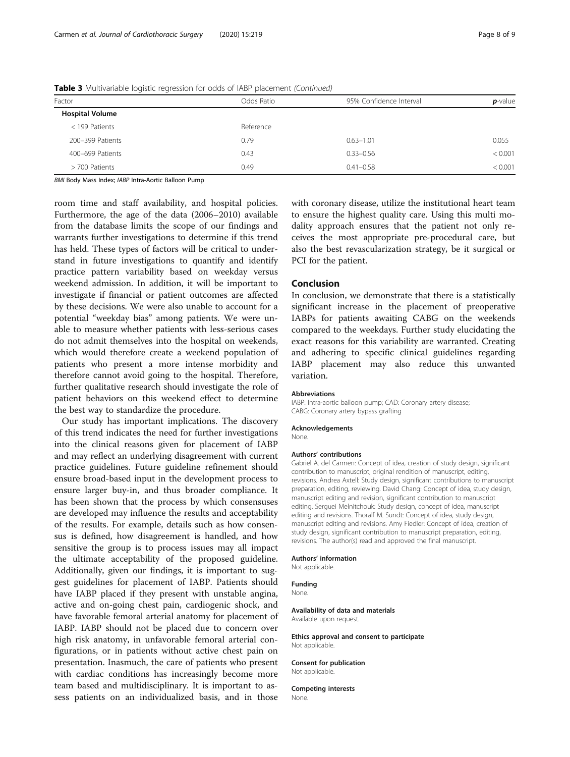| Factor                 | Odds Ratio | 95% Confidence Interval | $p$ -value |
|------------------------|------------|-------------------------|------------|
| <b>Hospital Volume</b> |            |                         |            |
| < 199 Patients         | Reference  |                         |            |
| 200-399 Patients       | 0.79       | $0.63 - 1.01$           | 0.055      |
| 400-699 Patients       | 0.43       | $0.33 - 0.56$           | < 0.001    |
| > 700 Patients         | 0.49       | $0.41 - 0.58$           | < 0.001    |
|                        |            |                         |            |

Table 3 Multivariable logistic regression for odds of IABP placement (Continued)

BMI Body Mass Index; IABP Intra-Aortic Balloon Pump

room time and staff availability, and hospital policies. Furthermore, the age of the data (2006–2010) available from the database limits the scope of our findings and warrants further investigations to determine if this trend has held. These types of factors will be critical to understand in future investigations to quantify and identify practice pattern variability based on weekday versus weekend admission. In addition, it will be important to investigate if financial or patient outcomes are affected by these decisions. We were also unable to account for a potential "weekday bias" among patients. We were unable to measure whether patients with less-serious cases do not admit themselves into the hospital on weekends, which would therefore create a weekend population of patients who present a more intense morbidity and therefore cannot avoid going to the hospital. Therefore, further qualitative research should investigate the role of patient behaviors on this weekend effect to determine the best way to standardize the procedure.

Our study has important implications. The discovery of this trend indicates the need for further investigations into the clinical reasons given for placement of IABP and may reflect an underlying disagreement with current practice guidelines. Future guideline refinement should ensure broad-based input in the development process to ensure larger buy-in, and thus broader compliance. It has been shown that the process by which consensuses are developed may influence the results and acceptability of the results. For example, details such as how consensus is defined, how disagreement is handled, and how sensitive the group is to process issues may all impact the ultimate acceptability of the proposed guideline. Additionally, given our findings, it is important to suggest guidelines for placement of IABP. Patients should have IABP placed if they present with unstable angina, active and on-going chest pain, cardiogenic shock, and have favorable femoral arterial anatomy for placement of IABP. IABP should not be placed due to concern over high risk anatomy, in unfavorable femoral arterial configurations, or in patients without active chest pain on presentation. Inasmuch, the care of patients who present with cardiac conditions has increasingly become more team based and multidisciplinary. It is important to assess patients on an individualized basis, and in those

with coronary disease, utilize the institutional heart team to ensure the highest quality care. Using this multi modality approach ensures that the patient not only receives the most appropriate pre-procedural care, but also the best revascularization strategy, be it surgical or PCI for the patient.

#### Conclusion

In conclusion, we demonstrate that there is a statistically significant increase in the placement of preoperative IABPs for patients awaiting CABG on the weekends compared to the weekdays. Further study elucidating the exact reasons for this variability are warranted. Creating and adhering to specific clinical guidelines regarding IABP placement may also reduce this unwanted variation.

#### Abbreviations

IABP: Intra-aortic balloon pump; CAD: Coronary artery disease; CABG: Coronary artery bypass grafting

Acknowledgements

None.

#### Authors' contributions

Gabriel A. del Carmen: Concept of idea, creation of study design, significant contribution to manuscript, original rendition of manuscript, editing, revisions. Andrea Axtell: Study design, significant contributions to manuscript preparation, editing, reviewing. David Chang: Concept of idea, study design, manuscript editing and revision, significant contribution to manuscript editing. Serguei Melnitchouk: Study design, concept of idea, manuscript editing and revisions. Thoralf M. Sundt: Concept of idea, study design, manuscript editing and revisions. Amy Fiedler: Concept of idea, creation of study design, significant contribution to manuscript preparation, editing, revisions. The author(s) read and approved the final manuscript.

#### Authors' information

Not applicable.

#### Funding

None.

#### Availability of data and materials

Available upon request.

#### Ethics approval and consent to participate Not applicable.

Consent for publication

## Not applicable.

Competing interests None.